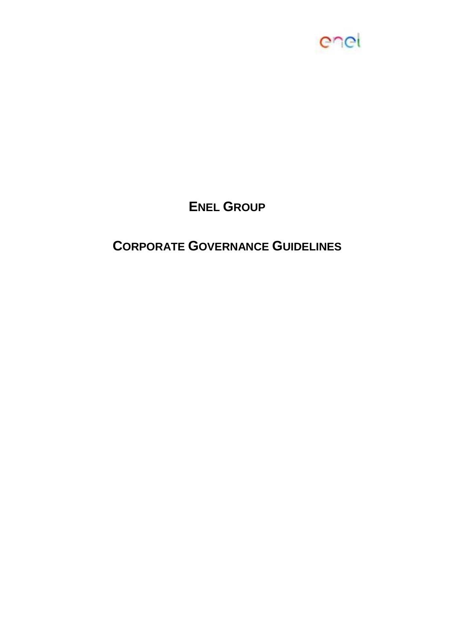

# **ENEL GROUP**

# **CORPORATE GOVERNANCE GUIDELINES**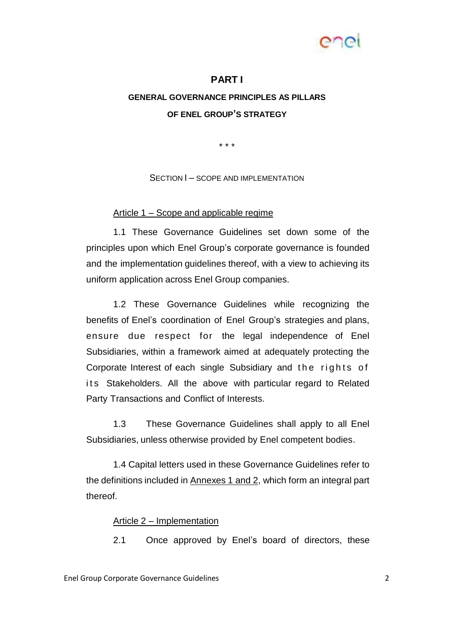

#### **PART I**

## **GENERAL GOVERNANCE PRINCIPLES AS PILLARS OF ENEL GROUP'S STRATEGY**

\* \* \*

SECTION  $I$  – SCOPE AND IMPLEMENTATION

#### Article 1 – Scope and applicable regime

1.1 These Governance Guidelines set down some of the principles upon which Enel Group's corporate governance is founded and the implementation guidelines thereof, with a view to achieving its uniform application across Enel Group companies.

1.2 These Governance Guidelines while recognizing the benefits of Enel's coordination of Enel Group's strategies and plans, ensure due respect for the legal independence of Enel Subsidiaries, within a framework aimed at adequately protecting the Corporate Interest of each single Subsidiary and the rights of its Stakeholders. All the above with particular regard to Related Party Transactions and Conflict of Interests.

1.3 These Governance Guidelines shall apply to all Enel Subsidiaries, unless otherwise provided by Enel competent bodies.

1.4 Capital letters used in these Governance Guidelines refer to the definitions included in Annexes 1 and 2, which form an integral part thereof.

#### Article 2 – Implementation

2.1 Once approved by Enel's board of directors, these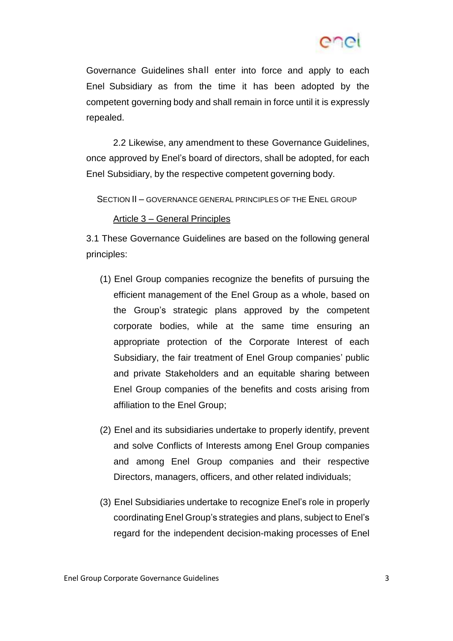

Governance Guidelines shall enter into force and apply to each Enel Subsidiary as from the time it has been adopted by the competent governing body and shall remain in force until it is expressly repealed.

2.2 Likewise, any amendment to these Governance Guidelines, once approved by Enel's board of directors, shall be adopted, for each Enel Subsidiary, by the respective competent governing body.

SECTION II – GOVERNANCE GENERAL PRINCIPLES OF THE ENEL GROUP

#### Article 3 – General Principles

3.1 These Governance Guidelines are based on the following general principles:

- (1) Enel Group companies recognize the benefits of pursuing the efficient management of the Enel Group as a whole, based on the Group's strategic plans approved by the competent corporate bodies, while at the same time ensuring an appropriate protection of the Corporate Interest of each Subsidiary, the fair treatment of Enel Group companies' public and private Stakeholders and an equitable sharing between Enel Group companies of the benefits and costs arising from affiliation to the Enel Group;
- (2) Enel and its subsidiaries undertake to properly identify, prevent and solve Conflicts of Interests among Enel Group companies and among Enel Group companies and their respective Directors, managers, officers, and other related individuals;
- (3) Enel Subsidiaries undertake to recognize Enel's role in properly coordinatingEnel Group's strategies and plans, subject to Enel's regard for the independent decision-making processes of Enel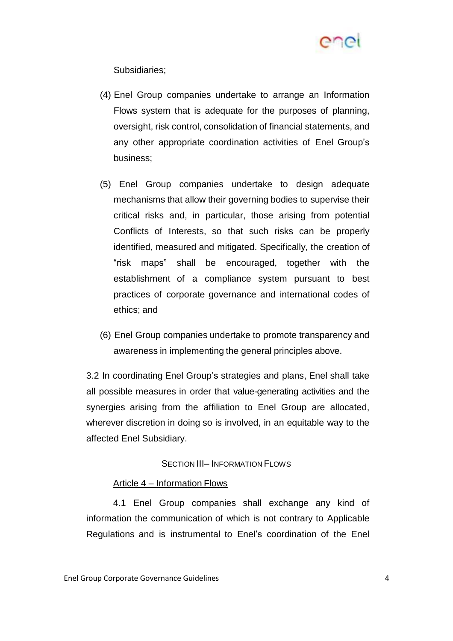

Subsidiaries;

- (4) Enel Group companies undertake to arrange an Information Flows system that is adequate for the purposes of planning, oversight, risk control, consolidation of financial statements, and any other appropriate coordination activities of Enel Group's business;
- (5) Enel Group companies undertake to design adequate mechanisms that allow their governing bodies to supervise their critical risks and, in particular, those arising from potential Conflicts of Interests, so that such risks can be properly identified, measured and mitigated. Specifically, the creation of "risk maps" shall be encouraged, together with the establishment of a compliance system pursuant to best practices of corporate governance and international codes of ethics; and
- (6) Enel Group companies undertake to promote transparency and awareness in implementing the general principles above.

3.2 In coordinating Enel Group's strategies and plans, Enel shall take all possible measures in order that value-generating activities and the synergies arising from the affiliation to Enel Group are allocated, wherever discretion in doing so is involved, in an equitable way to the affected Enel Subsidiary.

## SECTION III– INFORMATION FLOWS

#### Article 4 – Information Flows

4.1 Enel Group companies shall exchange any kind of information the communication of which is not contrary to Applicable Regulations and is instrumental to Enel's coordination of the Enel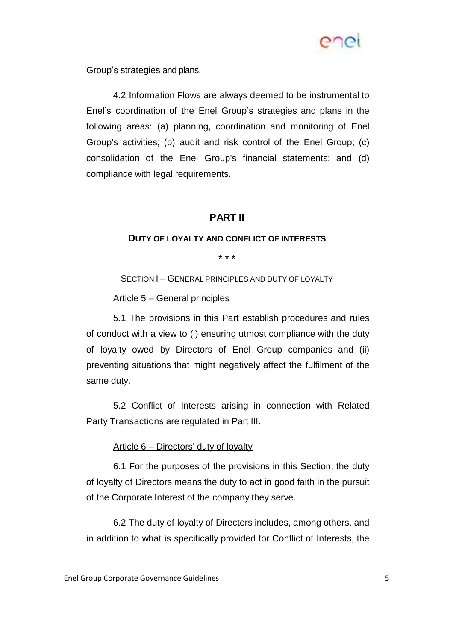

Group's strategies and plans.

4.2 Information Flows are always deemed to be instrumental to Enel's coordination of the Enel Group's strategies and plans in the following areas: (a) planning, coordination and monitoring of Enel Group's activities; (b) audit and risk control of the Enel Group; (c) consolidation of the Enel Group's financial statements; and (d) compliance with legal requirements.

## **PART II**

#### **DUTY OF LOYALTY AND CONFLICT OF INTERESTS**

\* \* \*

SECTION I - GENERAL PRINCIPLES AND DUTY OF LOYALTY

#### Article 5 – General principles

5.1 The provisions in this Part establish procedures and rules of conduct with a view to (i) ensuring utmost compliance with the duty of loyalty owed by Directors of Enel Group companies and (ii) preventing situations that might negatively affect the fulfilment of the same duty.

5.2 Conflict of Interests arising in connection with Related Party Transactions are regulated in Part III.

## Article 6 – Directors' duty of loyalty

6.1 For the purposes of the provisions in this Section, the duty of loyalty of Directors means the duty to act in good faith in the pursuit of the Corporate Interest of the company they serve.

6.2 The duty of loyalty of Directors includes, among others, and in addition to what is specifically provided for Conflict of Interests, the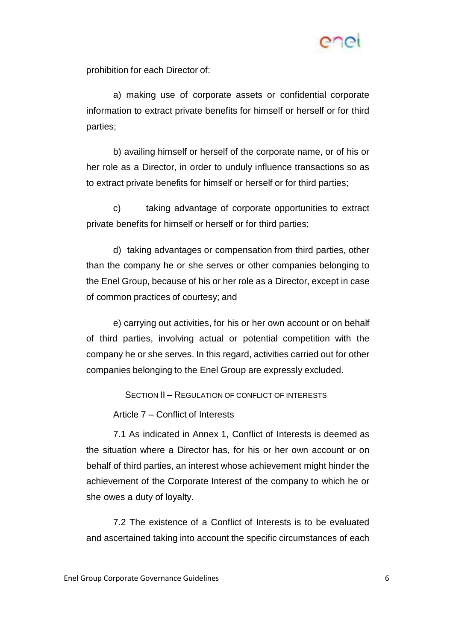

prohibition for each Director of:

a) making use of corporate assets or confidential corporate information to extract private benefits for himself or herself or for third parties;

b) availing himself or herself of the corporate name, or of his or her role as a Director, in order to unduly influence transactions so as to extract private benefits for himself or herself or for third parties;

c) taking advantage of corporate opportunities to extract private benefits for himself or herself or for third parties;

d) taking advantages or compensation from third parties, other than the company he or she serves or other companies belonging to the Enel Group, because of his or her role as a Director, except in case of common practices of courtesy; and

e) carrying out activities, for his or her own account or on behalf of third parties, involving actual or potential competition with the company he or she serves. In this regard, activities carried out for other companies belonging to the Enel Group are expressly excluded.

SECTION II – REGULATION OF CONFLICT OF INTERESTS

#### Article 7 – Conflict of Interests

7.1 As indicated in Annex 1, Conflict of Interests is deemed as the situation where a Director has, for his or her own account or on behalf of third parties, an interest whose achievement might hinder the achievement of the Corporate Interest of the company to which he or she owes a duty of loyalty.

7.2 The existence of a Conflict of Interests is to be evaluated and ascertained taking into account the specific circumstances of each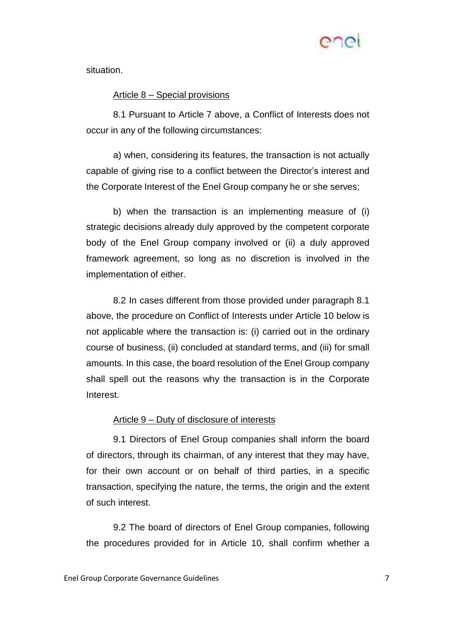

situation.

#### Article 8 – Special provisions

8.1 Pursuant to Article 7 above, a Conflict of Interests does not occur in any of the following circumstances:

a) when, considering its features, the transaction is not actually capable of giving rise to a conflict between the Director's interest and the Corporate Interest of the Enel Group company he or she serves;

b) when the transaction is an implementing measure of (i) strategic decisions already duly approved by the competent corporate body of the Enel Group company involved or (ii) a duly approved framework agreement, so long as no discretion is involved in the implementation of either.

8.2 In cases different from those provided under paragraph 8.1 above, the procedure on Conflict of Interests under Article 10 below is not applicable where the transaction is: (i) carried out in the ordinary course of business, (ii) concluded at standard terms, and (iii) for small amounts. In this case, the board resolution of the Enel Group company shall spell out the reasons why the transaction is in the Corporate Interest.

#### Article 9 – Duty of disclosure of interests

9.1 Directors of Enel Group companies shall inform the board of directors, through its chairman, of any interest that they may have, for their own account or on behalf of third parties, in a specific transaction, specifying the nature, the terms, the origin and the extent of such interest.

9.2 The board of directors of Enel Group companies, following the procedures provided for in Article 10, shall confirm whether a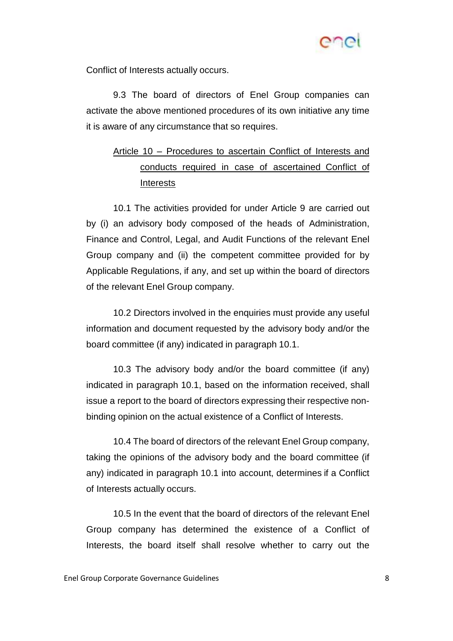

Conflict of Interests actually occurs.

9.3 The board of directors of Enel Group companies can activate the above mentioned procedures of its own initiative any time it is aware of any circumstance that so requires.

## Article 10 – Procedures to ascertain Conflict of Interests and conducts required in case of ascertained Conflict of Interests

10.1 The activities provided for under Article 9 are carried out by (i) an advisory body composed of the heads of Administration, Finance and Control, Legal, and Audit Functions of the relevant Enel Group company and (ii) the competent committee provided for by Applicable Regulations, if any, and set up within the board of directors of the relevant Enel Group company.

10.2 Directors involved in the enquiries must provide any useful information and document requested by the advisory body and/or the board committee (if any) indicated in paragraph 10.1.

10.3 The advisory body and/or the board committee (if any) indicated in paragraph 10.1, based on the information received, shall issue a report to the board of directors expressing their respective nonbinding opinion on the actual existence of a Conflict of Interests.

10.4 The board of directors of the relevant Enel Group company, taking the opinions of the advisory body and the board committee (if any) indicated in paragraph 10.1 into account, determines if a Conflict of Interests actually occurs.

10.5 In the event that the board of directors of the relevant Enel Group company has determined the existence of a Conflict of Interests, the board itself shall resolve whether to carry out the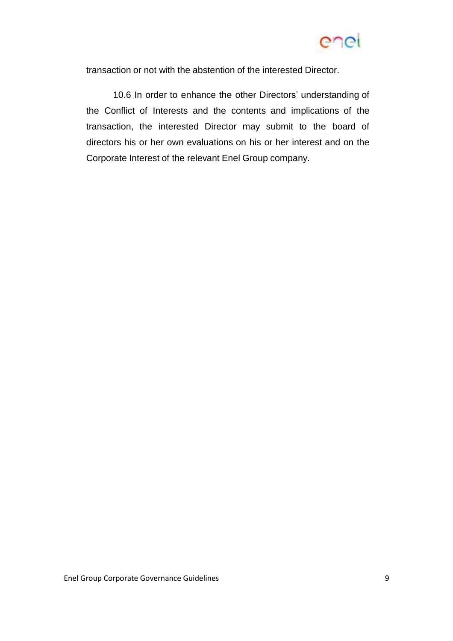

transaction or not with the abstention of the interested Director.

10.6 In order to enhance the other Directors' understanding of the Conflict of Interests and the contents and implications of the transaction, the interested Director may submit to the board of directors his or her own evaluations on his or her interest and on the Corporate Interest of the relevant Enel Group company.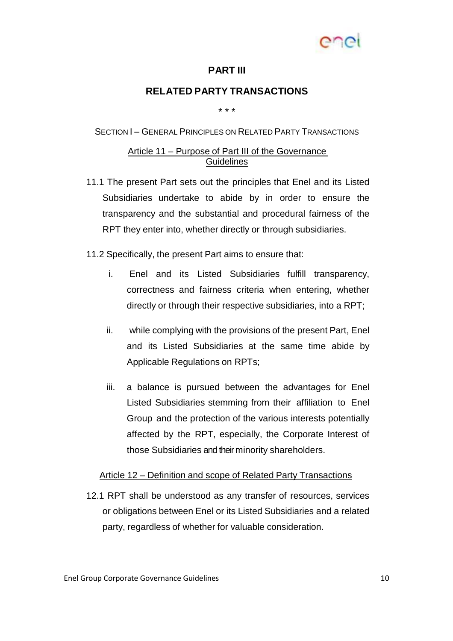

## **PART III**

## **RELATED PARTY TRANSACTIONS**

\* \* \*

#### SECTION I – GENERAL PRINCIPLES ON RELATED PARTY TRANSACTIONS

### Article 11 – Purpose of Part III of the Governance **Guidelines**

11.1 The present Part sets out the principles that Enel and its Listed Subsidiaries undertake to abide by in order to ensure the transparency and the substantial and procedural fairness of the RPT they enter into, whether directly or through subsidiaries.

11.2 Specifically, the present Part aims to ensure that:

- i. Enel and its Listed Subsidiaries fulfill transparency, correctness and fairness criteria when entering, whether directly or through their respective subsidiaries, into a RPT;
- ii. while complying with the provisions of the present Part, Enel and its Listed Subsidiaries at the same time abide by Applicable Regulations on RPTs;
- iii. a balance is pursued between the advantages for Enel Listed Subsidiaries stemming from their affiliation to Enel Group and the protection of the various interests potentially affected by the RPT, especially, the Corporate Interest of those Subsidiaries and their minority shareholders.

#### Article 12 – Definition and scope of Related Party Transactions

12.1 RPT shall be understood as any transfer of resources, services or obligations between Enel or its Listed Subsidiaries and a related party, regardless of whether for valuable consideration.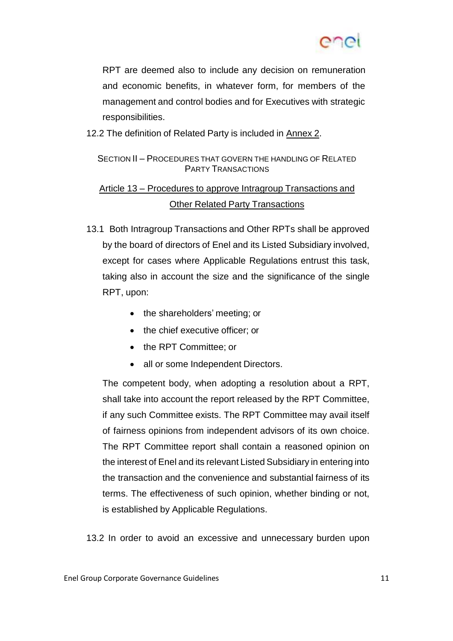

RPT are deemed also to include any decision on remuneration and economic benefits, in whatever form, for members of the management and control bodies and for Executives with strategic responsibilities.

12.2 The definition of Related Party is included in Annex 2.

## SECTION II – PROCEDURES THAT GOVERN THE HANDLING OF RELATED PARTY TRANSACTIONS

## Article 13 – Procedures to approve Intragroup Transactions and **Other Related Party Transactions**

- 13.1 Both Intragroup Transactions and Other RPTs shall be approved by the board of directors of Enel and its Listed Subsidiary involved, except for cases where Applicable Regulations entrust this task, taking also in account the size and the significance of the single RPT, upon:
	- the shareholders' meeting; or
	- the chief executive officer; or
	- the RPT Committee; or
	- all or some Independent Directors.

The competent body, when adopting a resolution about a RPT, shall take into account the report released by the RPT Committee, if any such Committee exists. The RPT Committee may avail itself of fairness opinions from independent advisors of its own choice. The RPT Committee report shall contain a reasoned opinion on the interest of Enel and its relevant Listed Subsidiary in entering into the transaction and the convenience and substantial fairness of its terms. The effectiveness of such opinion, whether binding or not, is established by Applicable Regulations.

13.2 In order to avoid an excessive and unnecessary burden upon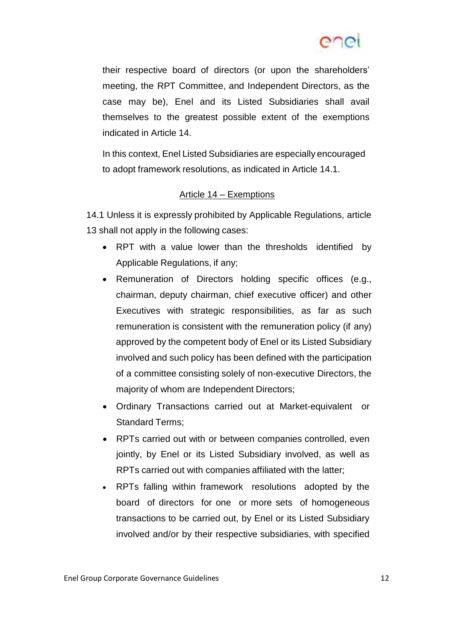

their respective board of directors (or upon the shareholders' meeting, the RPT Committee, and Independent Directors, as the case may be), Enel and its Listed Subsidiaries shall avail themselves to the greatest possible extent of the exemptions indicated in Article 14.

In this context, Enel Listed Subsidiaries are especially encouraged to adopt framework resolutions, as indicated in Article 14.1.

### Article 14 – Exemptions

14.1 Unless it is expressly prohibited by Applicable Regulations, article 13 shall not apply in the following cases:

- RPT with a value lower than the thresholds identified by Applicable Regulations, if any;
- Remuneration of Directors holding specific offices (e.g., chairman, deputy chairman, chief executive officer) and other Executives with strategic responsibilities, as far as such remuneration is consistent with the remuneration policy (if any) approved by the competent body of Enel or its Listed Subsidiary involved and such policy has been defined with the participation of a committee consisting solely of non-executive Directors, the majority of whom are Independent Directors;
- Ordinary Transactions carried out at Market-equivalent or Standard Terms;
- RPTs carried out with or between companies controlled, even jointly, by Enel or its Listed Subsidiary involved, as well as RPTs carried out with companies affiliated with the latter;
- RPTs falling within framework resolutions adopted by the board of directors for one or more sets of homogeneous transactions to be carried out, by Enel or its Listed Subsidiary involved and/or by their respective subsidiaries, with specified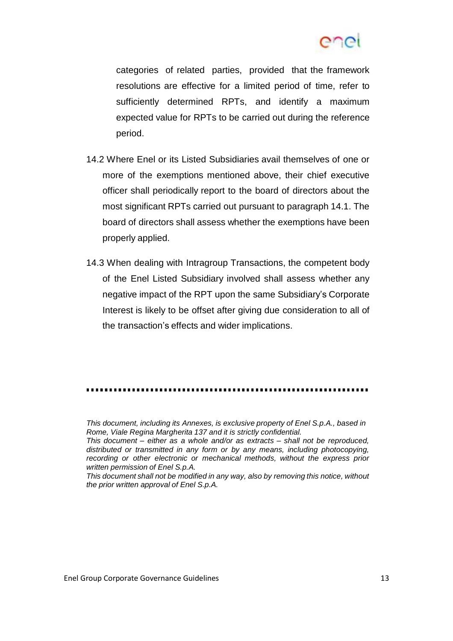

categories of related parties, provided that the framework resolutions are effective for a limited period of time, refer to sufficiently determined RPTs, and identify a maximum expected value for RPTs to be carried out during the reference period.

- 14.2 Where Enel or its Listed Subsidiaries avail themselves of one or more of the exemptions mentioned above, their chief executive officer shall periodically report to the board of directors about the most significant RPTs carried out pursuant to paragraph 14.1. The board of directors shall assess whether the exemptions have been properly applied.
- 14.3 When dealing with Intragroup Transactions, the competent body of the Enel Listed Subsidiary involved shall assess whether any negative impact of the RPT upon the same Subsidiary's Corporate Interest is likely to be offset after giving due consideration to all of the transaction's effects and wider implications.

*This document, including its Annexes, is exclusive property of Enel S.p.A., based in Rome, Viale Regina Margherita 137 and it is strictly confidential.*

*This document – either as a whole and/or as extracts – shall not be reproduced, distributed or transmitted in any form or by any means, including photocopying, recording or other electronic or mechanical methods, without the express prior written permission of Enel S.p.A.*

*This document shall not be modified in any way, also by removing this notice, without the prior written approval of Enel S.p.A.*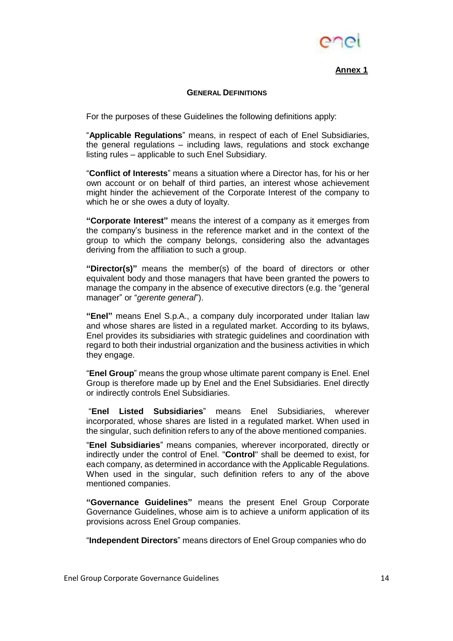

**Annex 1**

#### **GENERAL DEFINITIONS**

For the purposes of these Guidelines the following definitions apply:

"**Applicable Regulations**" means, in respect of each of Enel Subsidiaries, the general regulations – including laws, regulations and stock exchange listing rules – applicable to such Enel Subsidiary.

"**Conflict of Interests**" means a situation where a Director has, for his or her own account or on behalf of third parties, an interest whose achievement might hinder the achievement of the Corporate Interest of the company to which he or she owes a duty of loyalty.

**"Corporate Interest"** means the interest of a company as it emerges from the company's business in the reference market and in the context of the group to which the company belongs, considering also the advantages deriving from the affiliation to such a group.

**"Director(s)"** means the member(s) of the board of directors or other equivalent body and those managers that have been granted the powers to manage the company in the absence of executive directors (e.g. the "general manager" or "*gerente general*").

**"Enel"** means Enel S.p.A., a company duly incorporated under Italian law and whose shares are listed in a regulated market. According to its bylaws, Enel provides its subsidiaries with strategic guidelines and coordination with regard to both their industrial organization and the business activities in which they engage.

"**Enel Group**" means the group whose ultimate parent company is Enel. Enel Group is therefore made up by Enel and the Enel Subsidiaries. Enel directly or indirectly controls Enel Subsidiaries.

"**Enel Listed Subsidiaries**" means Enel Subsidiaries, wherever incorporated, whose shares are listed in a regulated market. When used in the singular, such definition refers to any of the above mentioned companies.

"**Enel Subsidiaries**" means companies, wherever incorporated, directly or indirectly under the control of Enel. "**Control**" shall be deemed to exist, for each company, as determined in accordance with the Applicable Regulations. When used in the singular, such definition refers to any of the above mentioned companies.

**"Governance Guidelines"** means the present Enel Group Corporate Governance Guidelines, whose aim is to achieve a uniform application of its provisions across Enel Group companies.

"**Independent Directors**" means directors of Enel Group companies who do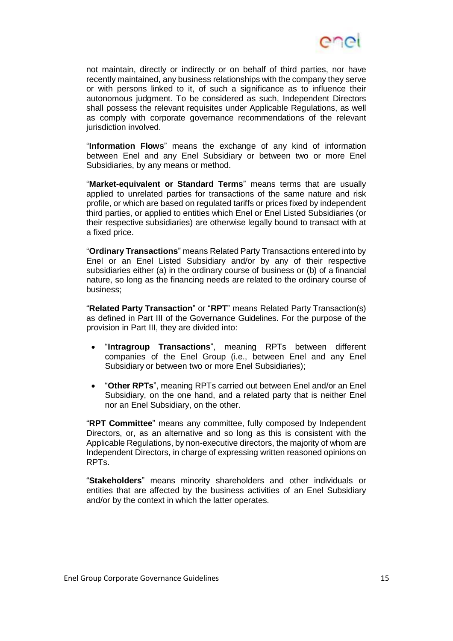

not maintain, directly or indirectly or on behalf of third parties, nor have recently maintained, any business relationships with the company they serve or with persons linked to it, of such a significance as to influence their autonomous judgment. To be considered as such, Independent Directors shall possess the relevant requisites under Applicable Regulations, as well as comply with corporate governance recommendations of the relevant jurisdiction involved.

"**Information Flows**" means the exchange of any kind of information between Enel and any Enel Subsidiary or between two or more Enel Subsidiaries, by any means or method.

"**Market-equivalent or Standard Terms**" means terms that are usually applied to unrelated parties for transactions of the same nature and risk profile, or which are based on regulated tariffs or prices fixed by independent third parties, or applied to entities which Enel or Enel Listed Subsidiaries (or their respective subsidiaries) are otherwise legally bound to transact with at a fixed price.

"**Ordinary Transactions**" means Related Party Transactions entered into by Enel or an Enel Listed Subsidiary and/or by any of their respective subsidiaries either (a) in the ordinary course of business or (b) of a financial nature, so long as the financing needs are related to the ordinary course of business;

"**Related Party Transaction**" or "**RPT**" means Related Party Transaction(s) as defined in Part III of the Governance Guidelines. For the purpose of the provision in Part III, they are divided into:

- "**Intragroup Transactions**", meaning RPTs between different companies of the Enel Group (i.e., between Enel and any Enel Subsidiary or between two or more Enel Subsidiaries);
- "**Other RPTs**", meaning RPTs carried out between Enel and/or an Enel Subsidiary, on the one hand, and a related party that is neither Enel nor an Enel Subsidiary, on the other.

"**RPT Committee**" means any committee, fully composed by Independent Directors, or, as an alternative and so long as this is consistent with the Applicable Regulations, by non-executive directors, the majority of whom are Independent Directors, in charge of expressing written reasoned opinions on RPTs.

"**Stakeholders**" means minority shareholders and other individuals or entities that are affected by the business activities of an Enel Subsidiary and/or by the context in which the latter operates.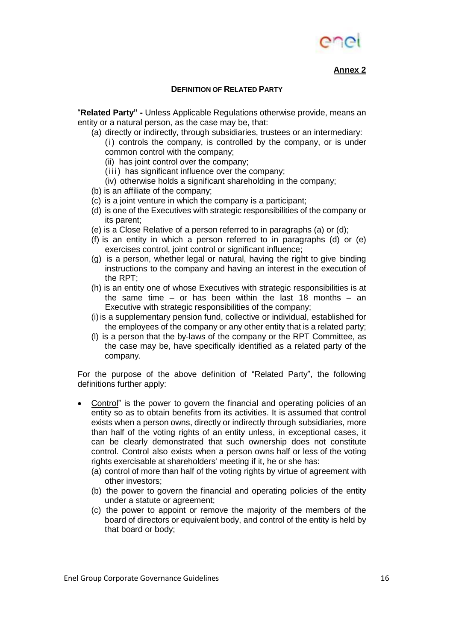

**Annex 2**

#### **DEFINITION OF RELATED PARTY**

"**Related Party" -** Unless Applicable Regulations otherwise provide, means an entity or a natural person, as the case may be, that:

- (a) directly or indirectly, through subsidiaries, trustees or an intermediary: (i) controls the company, is controlled by the company, or is under common control with the company;
	- (ii) has joint control over the company;
	- (iii) has significant influence over the company;
	- (iv) otherwise holds a significant shareholding in the company;
- (b) is an affiliate of the company;
- (c) is a joint venture in which the company is a participant;
- (d) is one of the Executives with strategic responsibilities of the company or its parent;
- (e) is a Close Relative of a person referred to in paragraphs (a) or (d);
- (f) is an entity in which a person referred to in paragraphs (d) or (e) exercises control, joint control or significant influence;
- (g) is a person, whether legal or natural, having the right to give binding instructions to the company and having an interest in the execution of the RPT;
- (h) is an entity one of whose Executives with strategic responsibilities is at the same time – or has been within the last 18 months – an Executive with strategic responsibilities of the company;
- (i)is a supplementary pension fund, collective or individual, established for the employees of the company or any other entity that is a related party;
- (l) is a person that the by-laws of the company or the RPT Committee, as the case may be, have specifically identified as a related party of the company.

For the purpose of the above definition of "Related Party", the following definitions further apply:

- Control" is the power to govern the financial and operating policies of an entity so as to obtain benefits from its activities. It is assumed that control exists when a person owns, directly or indirectly through subsidiaries, more than half of the voting rights of an entity unless, in exceptional cases, it can be clearly demonstrated that such ownership does not constitute control. Control also exists when a person owns half or less of the voting rights exercisable at shareholders' meeting if it, he or she has:
	- (a) control of more than half of the voting rights by virtue of agreement with other investors;
	- (b) the power to govern the financial and operating policies of the entity under a statute or agreement;
	- (c) the power to appoint or remove the majority of the members of the board of directors or equivalent body, and control of the entity is held by that board or body;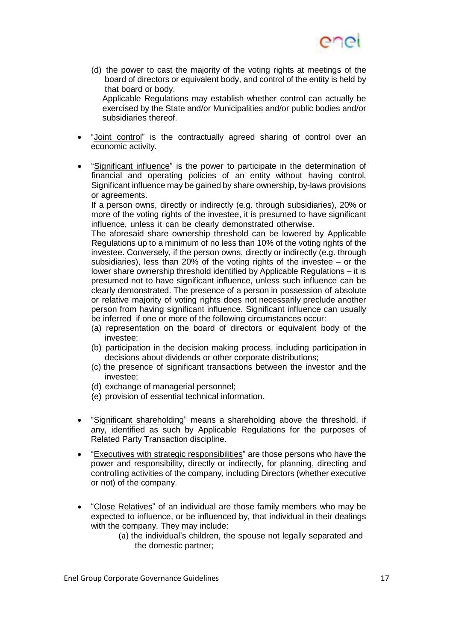

(d) the power to cast the majority of the voting rights at meetings of the board of directors or equivalent body, and control of the entity is held by that board or body.

Applicable Regulations may establish whether control can actually be exercised by the State and/or Municipalities and/or public bodies and/or subsidiaries thereof.

- "Joint control" is the contractually agreed sharing of control over an economic activity.
- "Significant influence" is the power to participate in the determination of financial and operating policies of an entity without having control. Significant influence may be gained by share ownership, by-laws provisions or agreements.

If a person owns, directly or indirectly (e.g. through subsidiaries), 20% or more of the voting rights of the investee, it is presumed to have significant influence, unless it can be clearly demonstrated otherwise.

The aforesaid share ownership threshold can be lowered by Applicable Regulations up to a minimum of no less than 10% of the voting rights of the investee. Conversely, if the person owns, directly or indirectly (e.g. through subsidiaries), less than 20% of the voting rights of the investee – or the lower share ownership threshold identified by Applicable Regulations – it is presumed not to have significant influence, unless such influence can be clearly demonstrated. The presence of a person in possession of absolute or relative majority of voting rights does not necessarily preclude another person from having significant influence. Significant influence can usually be inferred if one or more of the following circumstances occur:

- (a) representation on the board of directors or equivalent body of the investee;
- (b) participation in the decision making process, including participation in decisions about dividends or other corporate distributions;
- (c) the presence of significant transactions between the investor and the investee;
- (d) exchange of managerial personnel;
- (e) provision of essential technical information.
- "Significant shareholding" means a shareholding above the threshold, if any, identified as such by Applicable Regulations for the purposes of Related Party Transaction discipline.
- "Executives with strategic responsibilities" are those persons who have the power and responsibility, directly or indirectly, for planning, directing and controlling activities of the company, including Directors (whether executive or not) of the company.
- "Close Relatives" of an individual are those family members who may be expected to influence, or be influenced by, that individual in their dealings with the company. They may include:
	- (a) the individual's children, the spouse not legally separated and the domestic partner;

Enel Group Corporate Governance Guidelines 17 17